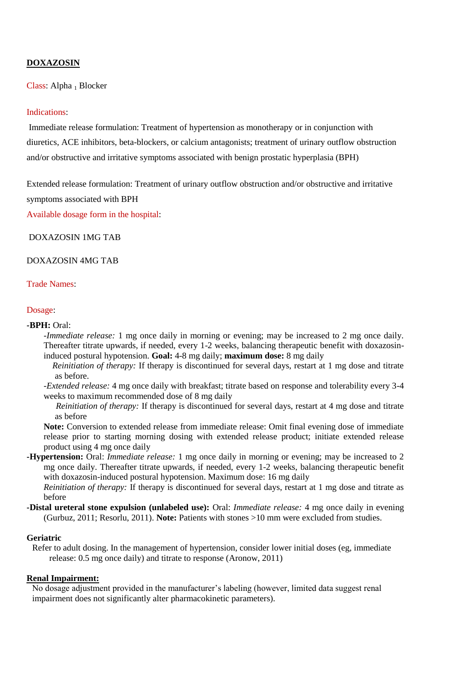# **DOXAZOSIN**

Class: Alpha <sub>1</sub> Blocker

## Indications:

Immediate release formulation: Treatment of hypertension as monotherapy or in conjunction with diuretics, ACE inhibitors, beta-blockers, or calcium antagonists; treatment of urinary outflow obstruction and/or obstructive and irritative symptoms associated with benign prostatic hyperplasia (BPH)

Extended release formulation: Treatment of urinary outflow obstruction and/or obstructive and irritative symptoms associated with BPH

Available dosage form in the hospital:

DOXAZOSIN 1MG TAB

## DOXAZOSIN 4MG TAB

### Trade Names:

#### Dosage:

#### **-BPH:** Oral:

*-Immediate release:* 1 mg once daily in morning or evening; may be increased to 2 mg once daily. Thereafter titrate upwards, if needed, every 1-2 weeks, balancing therapeutic benefit with doxazosininduced postural hypotension. **Goal:** 4-8 mg daily; **maximum dose:** 8 mg daily

 *Reinitiation of therapy:* If therapy is discontinued for several days, restart at 1 mg dose and titrate as before.

*-Extended release:* 4 mg once daily with breakfast; titrate based on response and tolerability every 3-4 weeks to maximum recommended dose of 8 mg daily

 *Reinitiation of therapy:* If therapy is discontinued for several days, restart at 4 mg dose and titrate as before

**Note:** Conversion to extended release from immediate release: Omit final evening dose of immediate release prior to starting morning dosing with extended release product; initiate extended release product using 4 mg once daily

**-Hypertension:** Oral: *Immediate release:* 1 mg once daily in morning or evening; may be increased to 2 mg once daily. Thereafter titrate upwards, if needed, every 1-2 weeks, balancing therapeutic benefit with doxazosin-induced postural hypotension. Maximum dose: 16 mg daily

*Reinitiation of therapy:* If therapy is discontinued for several days, restart at 1 mg dose and titrate as before

**-Distal ureteral stone expulsion (unlabeled use):** Oral: *Immediate release:* 4 mg once daily in evening (Gurbuz, 2011; Resorlu, 2011). **Note:** Patients with stones >10 mm were excluded from studies.

#### **Geriatric**

Refer to adult dosing. In the management of hypertension, consider lower initial doses (eg, immediate release: 0.5 mg once daily) and titrate to response (Aronow, 2011)

## **Renal Impairment:**

No dosage adjustment provided in the manufacturer's labeling (however, limited data suggest renal impairment does not significantly alter pharmacokinetic parameters).